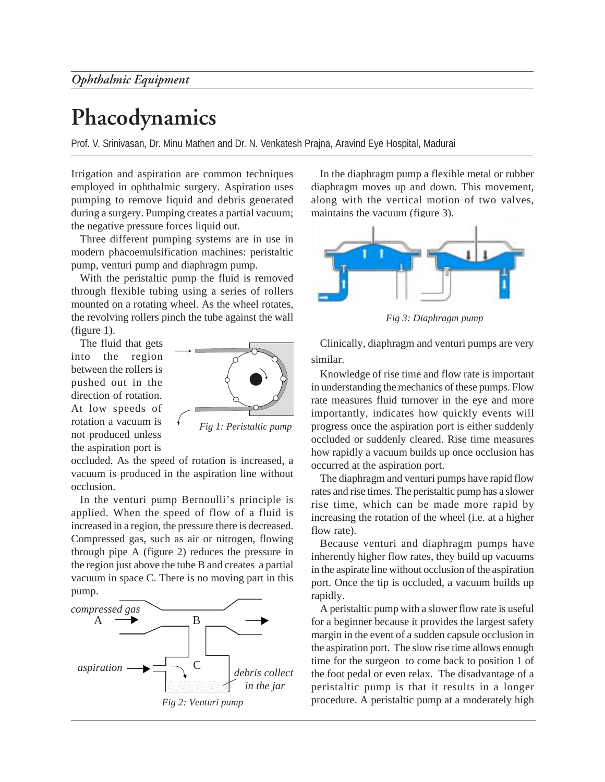## **Phacodynamics**

Prof. V. Srinivasan, Dr. Minu Mathen and Dr. N. Venkatesh Prajna, Aravind Eye Hospital, Madurai

Irrigation and aspiration are common techniques employed in ophthalmic surgery. Aspiration uses pumping to remove liquid and debris generated during a surgery. Pumping creates a partial vacuum; the negative pressure forces liquid out.

Three different pumping systems are in use in modern phacoemulsification machines: peristaltic pump, venturi pump and diaphragm pump.

With the peristaltic pump the fluid is removed through flexible tubing using a series of rollers mounted on a rotating wheel. As the wheel rotates, the revolving rollers pinch the tube against the wall (figure 1).

The fluid that gets into the region between the rollers is pushed out in the direction of rotation. At low speeds of rotation a vacuum is not produced unless the aspiration port is



*Fig 1: Peristaltic pump*

occluded. As the speed of rotation is increased, a vacuum is produced in the aspiration line without occlusion.

In the venturi pump Bernoulli's principle is applied. When the speed of flow of a fluid is increased in a region, the pressure there is decreased. Compressed gas, such as air or nitrogen, flowing through pipe A (figure 2) reduces the pressure in the region just above the tube B and creates a partial vacuum in space C. There is no moving part in this pump.



In the diaphragm pump a flexible metal or rubber diaphragm moves up and down. This movement, along with the vertical motion of two valves, maintains the vacuum (figure 3).



*Fig 3: Diaphragm pump*

Clinically, diaphragm and venturi pumps are very similar.

Knowledge of rise time and flow rate is important in understanding the mechanics of these pumps. Flow rate measures fluid turnover in the eye and more importantly, indicates how quickly events will progress once the aspiration port is either suddenly occluded or suddenly cleared. Rise time measures how rapidly a vacuum builds up once occlusion has occurred at the aspiration port.

The diaphragm and venturi pumps have rapid flow rates and rise times. The peristaltic pump has a slower rise time, which can be made more rapid by increasing the rotation of the wheel (i.e. at a higher flow rate).

Because venturi and diaphragm pumps have inherently higher flow rates, they build up vacuums in the aspirate line without occlusion of the aspiration port. Once the tip is occluded, a vacuum builds up rapidly.

A peristaltic pump with a slower flow rate is useful for a beginner because it provides the largest safety margin in the event of a sudden capsule occlusion in the aspiration port. The slow rise time allows enough time for the surgeon to come back to position 1 of the foot pedal or even relax. The disadvantage of a peristaltic pump is that it results in a longer procedure. A peristaltic pump at a moderately high